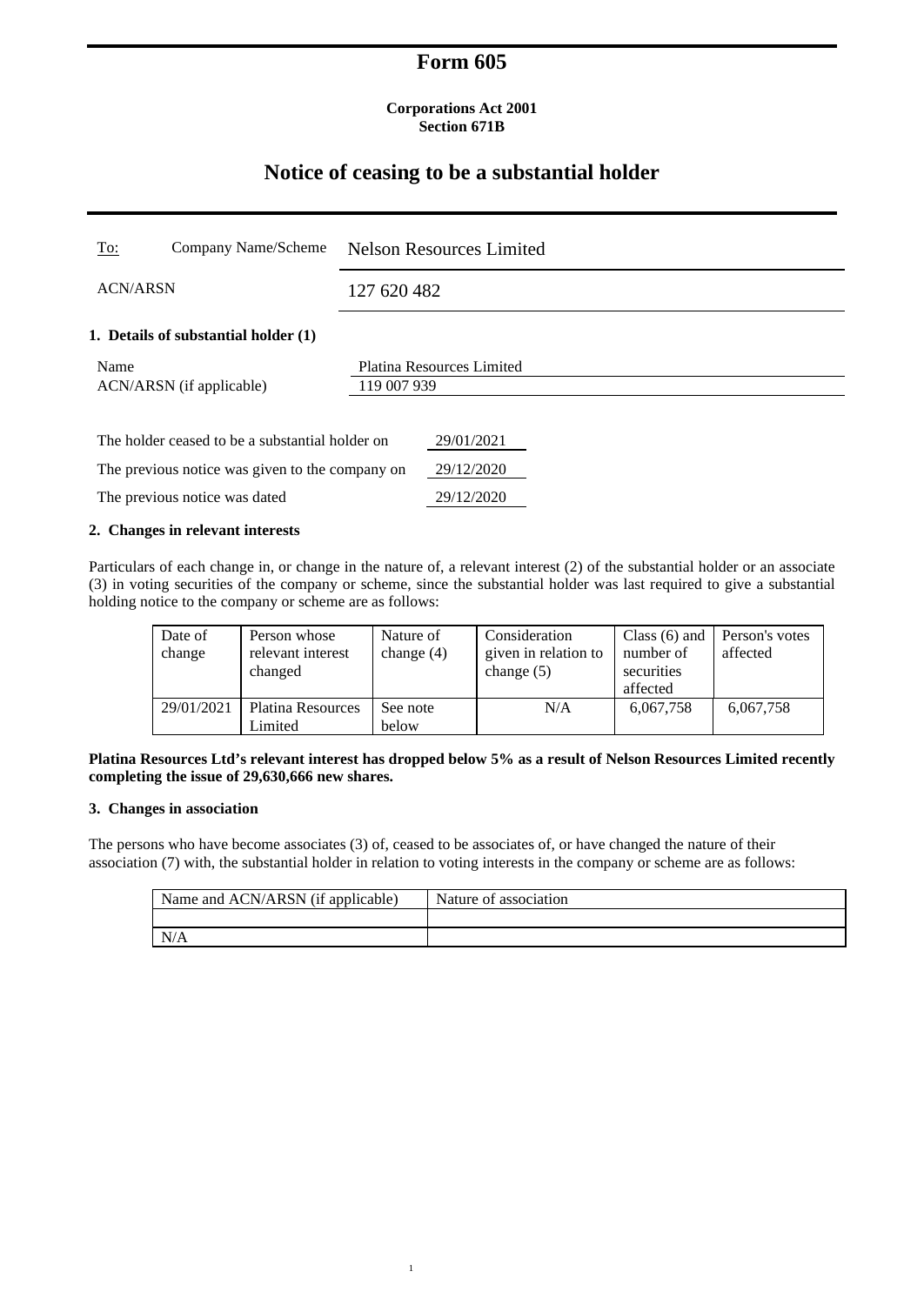## **Form 605**

### **Corporations Act 2001 Section 671B**

# **Notice of ceasing to be a substantial holder**

| <u>To:</u>                                      | Company Name/Scheme                             |             | <b>Nelson Resources Limited</b> |  |  |
|-------------------------------------------------|-------------------------------------------------|-------------|---------------------------------|--|--|
| <b>ACN/ARSN</b>                                 |                                                 | 127 620 482 |                                 |  |  |
| 1. Details of substantial holder (1)            |                                                 |             |                                 |  |  |
| Name<br>ACN/ARSN (if applicable)                |                                                 | 119 007 939 | Platina Resources Limited       |  |  |
|                                                 | The holder ceased to be a substantial holder on |             | 29/01/2021                      |  |  |
| The previous notice was given to the company on |                                                 |             | 29/12/2020                      |  |  |
| The previous notice was dated                   |                                                 |             | 29/12/2020                      |  |  |

## **2. Changes in relevant interests**

Particulars of each change in, or change in the nature of, a relevant interest (2) of the substantial holder or an associate (3) in voting securities of the company or scheme, since the substantial holder was last required to give a substantial holding notice to the company or scheme are as follows:

| Date of<br>change | Person whose<br>relevant interest<br>changed | Nature of<br>change $(4)$ | Consideration<br>given in relation to<br>change $(5)$ | Class $(6)$ and<br>number of<br>securities<br>affected | Person's votes<br>affected |
|-------------------|----------------------------------------------|---------------------------|-------------------------------------------------------|--------------------------------------------------------|----------------------------|
| 29/01/2021        | <b>Platina Resources</b><br>Limited          | See note<br>below         | N/A                                                   | 6,067,758                                              | 6,067,758                  |

**Platina Resources Ltd's relevant interest has dropped below 5% as a result of Nelson Resources Limited recently completing the issue of 29,630,666 new shares.** 

## **3. Changes in association**

 $1$ 

The persons who have become associates (3) of, ceased to be associates of, or have changed the nature of their association (7) with, the substantial holder in relation to voting interests in the company or scheme are as follows:

| Name and ACN/ARSN (if applicable) | Nature of association |
|-----------------------------------|-----------------------|
|                                   |                       |
| N/A                               |                       |